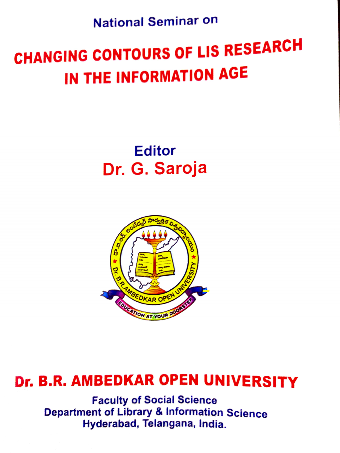National Seminar on

## CHANGING CONTOURS OF LIS RESEARCH IN THE INFORMATION AGE

Editor Dr. G. Saroja



## Dr. B.R. AMBEDKAR OPEN UNIVERSITY

Faculty of Social Science Department of Library & Information Science Hyderabad, Telangana, India.